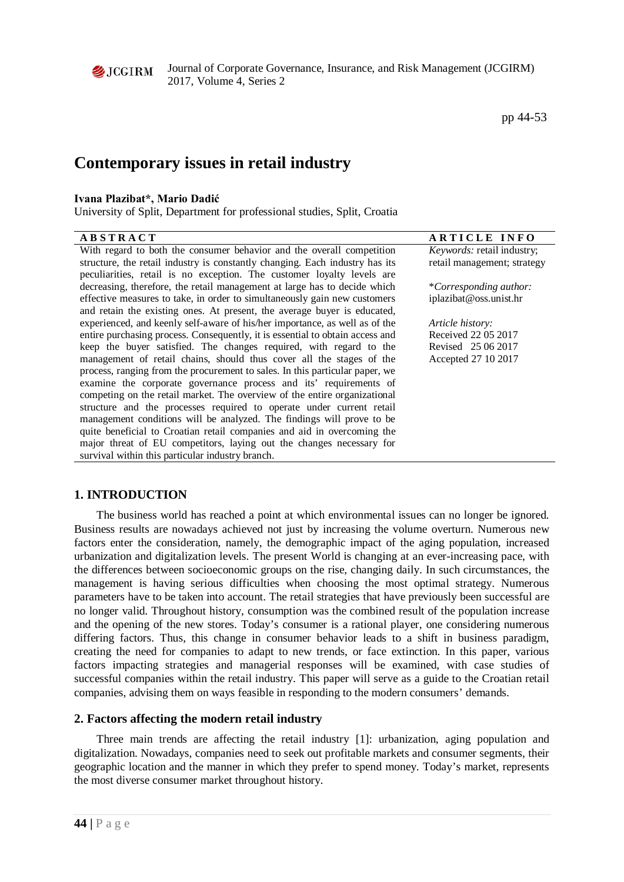

Journal of Corporate Governance, Insurance, and Risk Management (JCGIRM) 2017, Volume 4, Series 2

# **Contemporary issues in retail industry**

## **Ivana Plazibat\*, Mario Dadić**

University of Split, Department for professional studies, Split, Croatia

| <b>ABSTRACT</b>                                                               | <b>ARTICLE INFO</b>               |
|-------------------------------------------------------------------------------|-----------------------------------|
| With regard to both the consumer behavior and the overall competition         | <i>Keywords:</i> retail industry; |
| structure, the retail industry is constantly changing. Each industry has its  | retail management; strategy       |
| peculiarities, retail is no exception. The customer loyalty levels are        |                                   |
| decreasing, therefore, the retail management at large has to decide which     | *Corresponding author:            |
| effective measures to take, in order to simultaneously gain new customers     | iplazibat@oss.unist.hr            |
| and retain the existing ones. At present, the average buyer is educated,      |                                   |
| experienced, and keenly self-aware of his/her importance, as well as of the   | Article history:                  |
| entire purchasing process. Consequently, it is essential to obtain access and | Received 22 05 2017               |
| keep the buyer satisfied. The changes required, with regard to the            | Revised 25 06 2017                |
| management of retail chains, should thus cover all the stages of the          | Accepted 27 10 2017               |
| process, ranging from the procurement to sales. In this particular paper, we  |                                   |
| examine the corporate governance process and its' requirements of             |                                   |
| competing on the retail market. The overview of the entire organizational     |                                   |
| structure and the processes required to operate under current retail          |                                   |
| management conditions will be analyzed. The findings will prove to be         |                                   |
| quite beneficial to Croatian retail companies and aid in overcoming the       |                                   |
| major threat of EU competitors, laying out the changes necessary for          |                                   |
| survival within this particular industry branch.                              |                                   |

# **1. INTRODUCTION**

The business world has reached a point at which environmental issues can no longer be ignored. Business results are nowadays achieved not just by increasing the volume overturn. Numerous new factors enter the consideration, namely, the demographic impact of the aging population, increased urbanization and digitalization levels. The present World is changing at an ever-increasing pace, with the differences between socioeconomic groups on the rise, changing daily. In such circumstances, the management is having serious difficulties when choosing the most optimal strategy. Numerous parameters have to be taken into account. The retail strategies that have previously been successful are no longer valid. Throughout history, consumption was the combined result of the population increase and the opening of the new stores. Today's consumer is a rational player, one considering numerous differing factors. Thus, this change in consumer behavior leads to a shift in business paradigm, creating the need for companies to adapt to new trends, or face extinction. In this paper, various factors impacting strategies and managerial responses will be examined, with case studies of successful companies within the retail industry. This paper will serve as a guide to the Croatian retail companies, advising them on ways feasible in responding to the modern consumers' demands.

# **2. Factors affecting the modern retail industry**

Three main trends are affecting the retail industry [1]: urbanization, aging population and digitalization. Nowadays, companies need to seek out profitable markets and consumer segments, their geographic location and the manner in which they prefer to spend money. Today's market, represents the most diverse consumer market throughout history.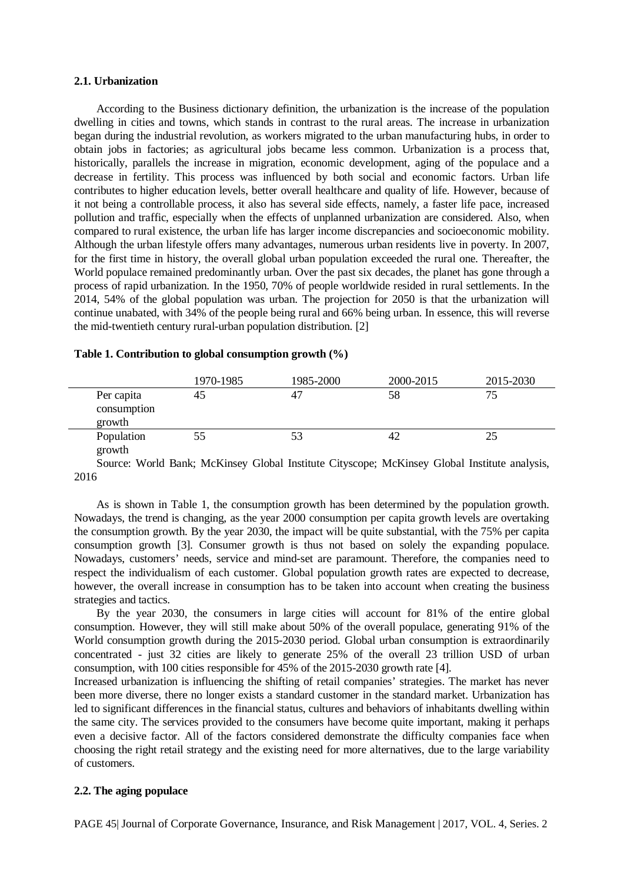#### **2.1. Urbanization**

According to the Business dictionary definition, the urbanization is the increase of the population dwelling in cities and towns, which stands in contrast to the rural areas. The increase in urbanization began during the industrial revolution, as workers migrated to the urban manufacturing hubs, in order to obtain jobs in factories; as agricultural jobs became less common. Urbanization is a process that, historically, parallels the increase in migration, economic development, aging of the populace and a decrease in fertility. This process was influenced by both social and economic factors. Urban life contributes to higher education levels, better overall healthcare and quality of life. However, because of it not being a controllable process, it also has several side effects, namely, a faster life pace, increased pollution and traffic, especially when the effects of unplanned urbanization are considered. Also, when compared to rural existence, the urban life has larger income discrepancies and socioeconomic mobility. Although the urban lifestyle offers many advantages, numerous urban residents live in poverty. In 2007, for the first time in history, the overall global urban population exceeded the rural one. Thereafter, the World populace remained predominantly urban. Over the past six decades, the planet has gone through a process of rapid urbanization. In the 1950, 70% of people worldwide resided in rural settlements. In the 2014, 54% of the global population was urban. The projection for 2050 is that the urbanization will continue unabated, with 34% of the people being rural and 66% being urban. In essence, this will reverse the mid-twentieth century rural-urban population distribution. [2]

|                                     | 1970-1985 | 1985-2000 | 2000-2015 | 2015-2030 |
|-------------------------------------|-----------|-----------|-----------|-----------|
| Per capita<br>consumption<br>growth | 45        | 47        | 58        | 75        |
| Population<br>growth                | 55        |           | 42        | 25        |

#### **Table 1. Contribution to global consumption growth (%)**

Source: World Bank; McKinsey Global Institute Cityscope; McKinsey Global Institute analysis, 2016

As is shown in Table 1, the consumption growth has been determined by the population growth. Nowadays, the trend is changing, as the year 2000 consumption per capita growth levels are overtaking the consumption growth. By the year 2030, the impact will be quite substantial, with the 75% per capita consumption growth [3]. Consumer growth is thus not based on solely the expanding populace. Nowadays, customers' needs, service and mind-set are paramount. Therefore, the companies need to respect the individualism of each customer. Global population growth rates are expected to decrease, however, the overall increase in consumption has to be taken into account when creating the business strategies and tactics.

By the year 2030, the consumers in large cities will account for 81% of the entire global consumption. However, they will still make about 50% of the overall populace, generating 91% of the World consumption growth during the 2015-2030 period. Global urban consumption is extraordinarily concentrated - just 32 cities are likely to generate 25% of the overall 23 trillion USD of urban consumption, with 100 cities responsible for 45% of the 2015-2030 growth rate [4].

Increased urbanization is influencing the shifting of retail companies' strategies. The market has never been more diverse, there no longer exists a standard customer in the standard market. Urbanization has led to significant differences in the financial status, cultures and behaviors of inhabitants dwelling within the same city. The services provided to the consumers have become quite important, making it perhaps even a decisive factor. All of the factors considered demonstrate the difficulty companies face when choosing the right retail strategy and the existing need for more alternatives, due to the large variability of customers.

#### **2.2. The aging populace**

PAGE 45| Journal of Corporate Governance, Insurance, and Risk Management | 2017, VOL. 4, Series. 2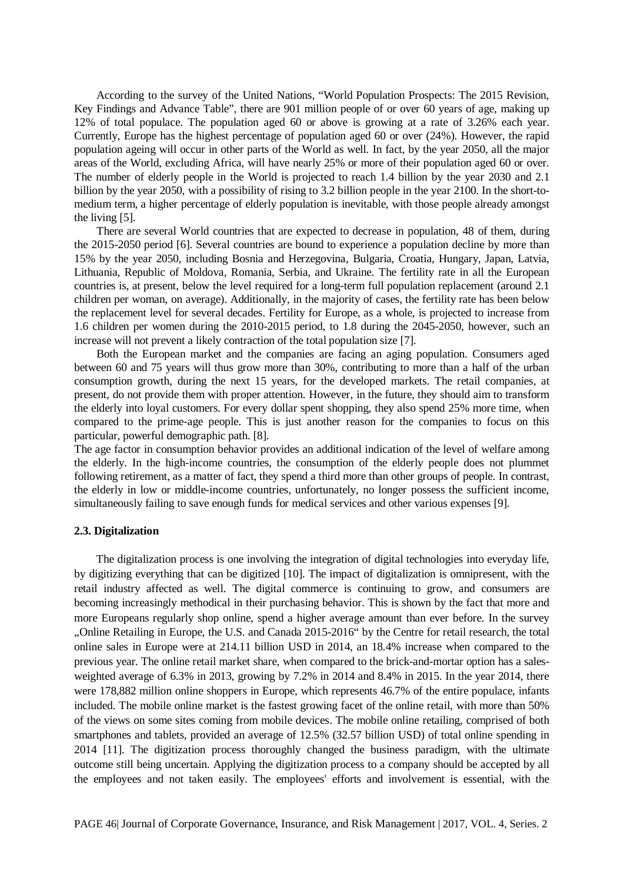According to the survey of the United Nations, "World Population Prospects: The 2015 Revision, Key Findings and Advance Table", there are 901 million people of or over 60 years of age, making up 12% of total populace. The population aged 60 or above is growing at a rate of 3.26% each year. Currently, Europe has the highest percentage of population aged 60 or over (24%). However, the rapid population ageing will occur in other parts of the World as well. In fact, by the year 2050, all the major areas of the World, excluding Africa, will have nearly 25% or more of their population aged 60 or over. The number of elderly people in the World is projected to reach 1.4 billion by the year 2030 and 2.1 billion by the year 2050, with a possibility of rising to 3.2 billion people in the year 2100. In the short-tomedium term, a higher percentage of elderly population is inevitable, with those people already amongst the living [5].

There are several World countries that are expected to decrease in population, 48 of them, during the 2015-2050 period [6]. Several countries are bound to experience a population decline by more than 15% by the year 2050, including Bosnia and Herzegovina, Bulgaria, Croatia, Hungary, Japan, Latvia, Lithuania, Republic of Moldova, Romania, Serbia, and Ukraine. The fertility rate in all the European countries is, at present, below the level required for a long-term full population replacement (around 2.1 children per woman, on average). Additionally, in the majority of cases, the fertility rate has been below the replacement level for several decades. Fertility for Europe, as a whole, is projected to increase from 1.6 children per women during the 2010-2015 period, to 1.8 during the 2045-2050, however, such an increase will not prevent a likely contraction of the total population size [7].

Both the European market and the companies are facing an aging population. Consumers aged between 60 and 75 years will thus grow more than 30%, contributing to more than a half of the urban consumption growth, during the next 15 years, for the developed markets. The retail companies, at present, do not provide them with proper attention. However, in the future, they should aim to transform the elderly into loyal customers. For every dollar spent shopping, they also spend 25% more time, when compared to the prime-age people. This is just another reason for the companies to focus on this particular, powerful demographic path. [8].

The age factor in consumption behavior provides an additional indication of the level of welfare among the elderly. In the high-income countries, the consumption of the elderly people does not plummet following retirement, as a matter of fact, they spend a third more than other groups of people. In contrast, the elderly in low or middle-income countries, unfortunately, no longer possess the sufficient income, simultaneously failing to save enough funds for medical services and other various expenses [9].

#### **2.3. Digitalization**

The digitalization process is one involving the integration of digital technologies into everyday life, by digitizing everything that can be digitized [10]. The impact of digitalization is omnipresent, with the retail industry affected as well. The digital commerce is continuing to grow, and consumers are becoming increasingly methodical in their purchasing behavior. This is shown by the fact that more and more Europeans regularly shop online, spend a higher average amount than ever before. In the survey "Online Retailing in Europe, the U.S. and Canada 2015-2016" by the Centre for retail research, the total online sales in Europe were at 214.11 billion USD in 2014, an 18.4% increase when compared to the previous year. The online retail market share, when compared to the brick-and-mortar option has a salesweighted average of 6.3% in 2013, growing by 7.2% in 2014 and 8.4% in 2015. In the year 2014, there were 178,882 million online shoppers in Europe, which represents 46.7% of the entire populace, infants included. The mobile online market is the fastest growing facet of the online retail, with more than 50% of the views on some sites coming from mobile devices. The mobile online retailing, comprised of both smartphones and tablets, provided an average of 12.5% (32.57 billion USD) of total online spending in 2014 [11]. The digitization process thoroughly changed the business paradigm, with the ultimate outcome still being uncertain. Applying the digitization process to a company should be accepted by all the employees and not taken easily. The employees' efforts and involvement is essential, with the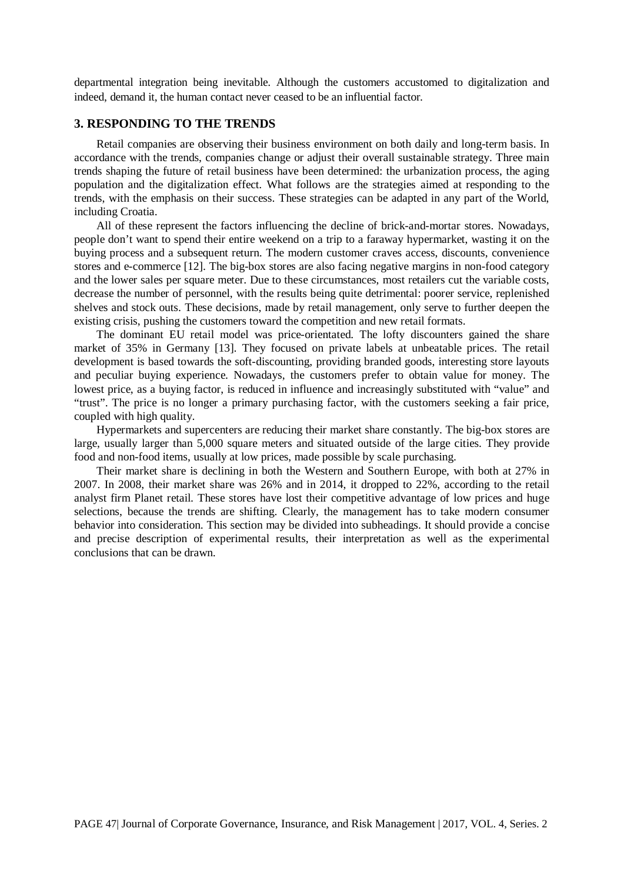departmental integration being inevitable. Although the customers accustomed to digitalization and indeed, demand it, the human contact never ceased to be an influential factor*.*

### **3. RESPONDING TO THE TRENDS**

Retail companies are observing their business environment on both daily and long-term basis. In accordance with the trends, companies change or adjust their overall sustainable strategy. Three main trends shaping the future of retail business have been determined: the urbanization process, the aging population and the digitalization effect. What follows are the strategies aimed at responding to the trends, with the emphasis on their success. These strategies can be adapted in any part of the World, including Croatia.

All of these represent the factors influencing the decline of brick-and-mortar stores. Nowadays, people don't want to spend their entire weekend on a trip to a faraway hypermarket, wasting it on the buying process and a subsequent return. The modern customer craves access, discounts, convenience stores and e-commerce [12]. The big-box stores are also facing negative margins in non-food category and the lower sales per square meter. Due to these circumstances, most retailers cut the variable costs, decrease the number of personnel, with the results being quite detrimental: poorer service, replenished shelves and stock outs. These decisions, made by retail management, only serve to further deepen the existing crisis, pushing the customers toward the competition and new retail formats.

The dominant EU retail model was price-orientated. The lofty discounters gained the share market of 35% in Germany [13]. They focused on private labels at unbeatable prices. The retail development is based towards the soft-discounting, providing branded goods, interesting store layouts and peculiar buying experience. Nowadays, the customers prefer to obtain value for money. The lowest price, as a buying factor, is reduced in influence and increasingly substituted with "value" and "trust". The price is no longer a primary purchasing factor, with the customers seeking a fair price, coupled with high quality.

Hypermarkets and supercenters are reducing their market share constantly. The big-box stores are large, usually larger than 5,000 square meters and situated outside of the large cities. They provide food and non-food items, usually at low prices, made possible by scale purchasing.

Their market share is declining in both the Western and Southern Europe, with both at 27% in 2007. In 2008, their market share was 26% and in 2014, it dropped to 22%, according to the retail analyst firm Planet retail. These stores have lost their competitive advantage of low prices and huge selections, because the trends are shifting. Clearly, the management has to take modern consumer behavior into consideration. This section may be divided into subheadings. It should provide a concise and precise description of experimental results, their interpretation as well as the experimental conclusions that can be drawn.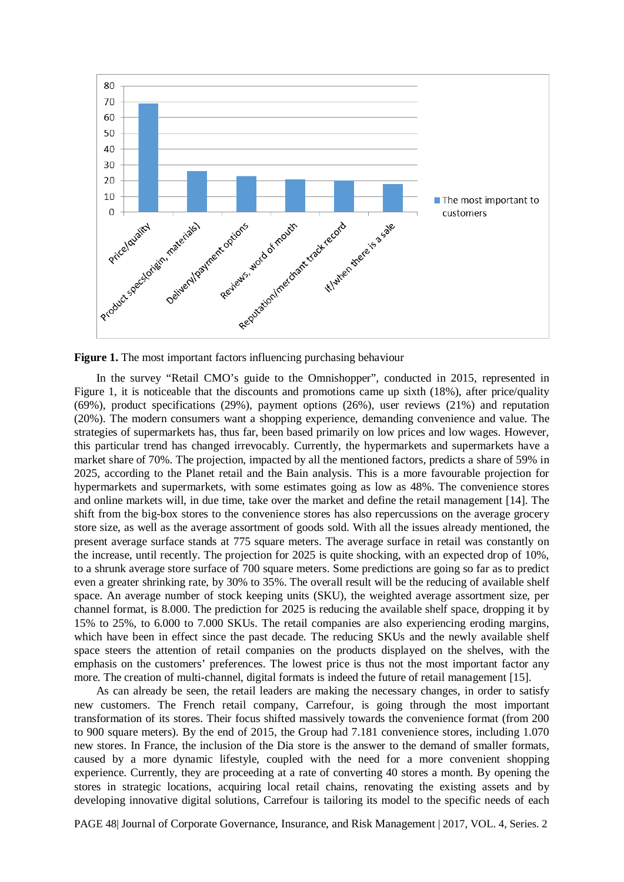

**Figure 1.** The most important factors influencing purchasing behaviour

In the survey "Retail CMO's guide to the Omnishopper", conducted in 2015, represented in Figure 1, it is noticeable that the discounts and promotions came up sixth (18%), after price/quality (69%), product specifications (29%), payment options (26%), user reviews (21%) and reputation (20%). The modern consumers want a shopping experience, demanding convenience and value. The strategies of supermarkets has, thus far, been based primarily on low prices and low wages. However, this particular trend has changed irrevocably. Currently, the hypermarkets and supermarkets have a market share of 70%. The projection, impacted by all the mentioned factors, predicts a share of 59% in 2025, according to the Planet retail and the Bain analysis. This is a more favourable projection for hypermarkets and supermarkets, with some estimates going as low as 48%. The convenience stores and online markets will, in due time, take over the market and define the retail management [14]. The shift from the big-box stores to the convenience stores has also repercussions on the average grocery store size, as well as the average assortment of goods sold. With all the issues already mentioned, the present average surface stands at 775 square meters. The average surface in retail was constantly on the increase, until recently. The projection for 2025 is quite shocking, with an expected drop of 10%, to a shrunk average store surface of 700 square meters. Some predictions are going so far as to predict even a greater shrinking rate, by 30% to 35%. The overall result will be the reducing of available shelf space. An average number of stock keeping units (SKU), the weighted average assortment size, per channel format, is 8.000. The prediction for 2025 is reducing the available shelf space, dropping it by 15% to 25%, to 6.000 to 7.000 SKUs. The retail companies are also experiencing eroding margins, which have been in effect since the past decade. The reducing SKUs and the newly available shelf space steers the attention of retail companies on the products displayed on the shelves, with the emphasis on the customers' preferences. The lowest price is thus not the most important factor any more. The creation of multi-channel, digital formats is indeed the future of retail management [15].

As can already be seen, the retail leaders are making the necessary changes, in order to satisfy new customers. The French retail company, Carrefour, is going through the most important transformation of its stores. Their focus shifted massively towards the convenience format (from 200 to 900 square meters). By the end of 2015, the Group had 7.181 convenience stores, including 1.070 new stores. In France, the inclusion of the Dia store is the answer to the demand of smaller formats, caused by a more dynamic lifestyle, coupled with the need for a more convenient shopping experience. Currently, they are proceeding at a rate of converting 40 stores a month. By opening the stores in strategic locations, acquiring local retail chains, renovating the existing assets and by developing innovative digital solutions, Carrefour is tailoring its model to the specific needs of each

PAGE 48| Journal of Corporate Governance, Insurance, and Risk Management | 2017, VOL. 4, Series. 2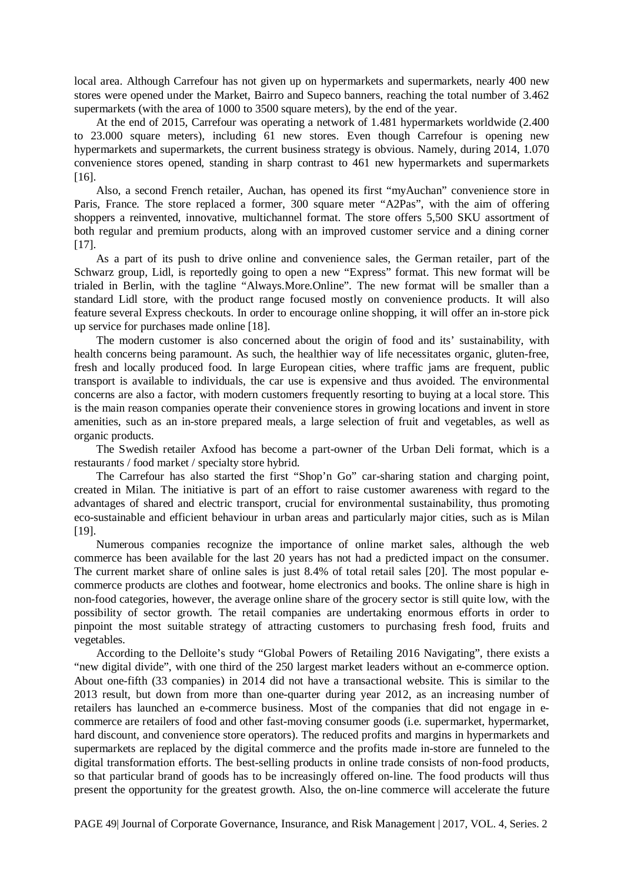local area. Although Carrefour has not given up on hypermarkets and supermarkets, nearly 400 new stores were opened under the Market, Bairro and Supeco banners, reaching the total number of 3.462 supermarkets (with the area of 1000 to 3500 square meters), by the end of the year.

At the end of 2015, Carrefour was operating a network of 1.481 hypermarkets worldwide (2.400 to 23.000 square meters), including 61 new stores. Even though Carrefour is opening new hypermarkets and supermarkets, the current business strategy is obvious. Namely, during 2014, 1.070 convenience stores opened, standing in sharp contrast to 461 new hypermarkets and supermarkets [16].

Also, a second French retailer, Auchan, has opened its first "myAuchan" convenience store in Paris, France. The store replaced a former, 300 square meter "A2Pas", with the aim of offering shoppers a reinvented, innovative, multichannel format. The store offers 5,500 SKU assortment of both regular and premium products, along with an improved customer service and a dining corner [17].

As a part of its push to drive online and convenience sales, the German retailer, part of the Schwarz group, Lidl, is reportedly going to open a new "Express" format. This new format will be trialed in Berlin, with the tagline "Always.More.Online". The new format will be smaller than a standard Lidl store, with the product range focused mostly on convenience products. It will also feature several Express checkouts. In order to encourage online shopping, it will offer an in-store pick up service for purchases made online [18].

The modern customer is also concerned about the origin of food and its' sustainability, with health concerns being paramount. As such, the healthier way of life necessitates organic, gluten-free, fresh and locally produced food. In large European cities, where traffic jams are frequent, public transport is available to individuals, the car use is expensive and thus avoided. The environmental concerns are also a factor, with modern customers frequently resorting to buying at a local store. This is the main reason companies operate their convenience stores in growing locations and invent in store amenities, such as an in-store prepared meals, a large selection of fruit and vegetables, as well as organic products.

The Swedish retailer Axfood has become a part-owner of the Urban Deli format, which is a restaurants / food market / specialty store hybrid.

The Carrefour has also started the first "Shop'n Go" car-sharing station and charging point, created in Milan. The initiative is part of an effort to raise customer awareness with regard to the advantages of shared and electric transport, crucial for environmental sustainability, thus promoting eco-sustainable and efficient behaviour in urban areas and particularly major cities, such as is Milan [19].

Numerous companies recognize the importance of online market sales, although the web commerce has been available for the last 20 years has not had a predicted impact on the consumer. The current market share of online sales is just 8.4% of total retail sales [20]. The most popular ecommerce products are clothes and footwear, home electronics and books. The online share is high in non-food categories, however, the average online share of the grocery sector is still quite low, with the possibility of sector growth. The retail companies are undertaking enormous efforts in order to pinpoint the most suitable strategy of attracting customers to purchasing fresh food, fruits and vegetables.

According to the Delloite's study "Global Powers of Retailing 2016 Navigating", there exists a "new digital divide", with one third of the 250 largest market leaders without an e-commerce option. About one-fifth (33 companies) in 2014 did not have a transactional website. This is similar to the 2013 result, but down from more than one-quarter during year 2012, as an increasing number of retailers has launched an e-commerce business. Most of the companies that did not engage in ecommerce are retailers of food and other fast-moving consumer goods (i.e. supermarket, hypermarket, hard discount, and convenience store operators). The reduced profits and margins in hypermarkets and supermarkets are replaced by the digital commerce and the profits made in-store are funneled to the digital transformation efforts. The best-selling products in online trade consists of non-food products, so that particular brand of goods has to be increasingly offered on-line. The food products will thus present the opportunity for the greatest growth. Also, the on-line commerce will accelerate the future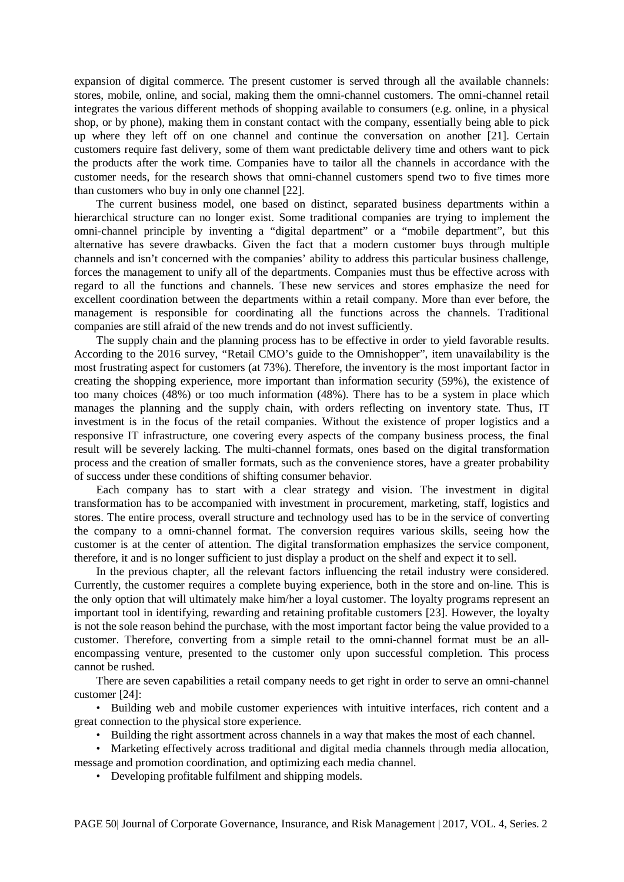expansion of digital commerce. The present customer is served through all the available channels: stores, mobile, online, and social, making them the omni-channel customers. The omni-channel retail integrates the various different methods of shopping available to consumers (e.g. online, in a physical shop, or by phone), making them in constant contact with the company, essentially being able to pick up where they left off on one channel and continue the conversation on another [21]. Certain customers require fast delivery, some of them want predictable delivery time and others want to pick the products after the work time. Companies have to tailor all the channels in accordance with the customer needs, for the research shows that omni-channel customers spend two to five times more than customers who buy in only one channel [22].

The current business model, one based on distinct, separated business departments within a hierarchical structure can no longer exist. Some traditional companies are trying to implement the omni-channel principle by inventing a "digital department" or a "mobile department", but this alternative has severe drawbacks. Given the fact that a modern customer buys through multiple channels and isn't concerned with the companies' ability to address this particular business challenge, forces the management to unify all of the departments. Companies must thus be effective across with regard to all the functions and channels. These new services and stores emphasize the need for excellent coordination between the departments within a retail company. More than ever before, the management is responsible for coordinating all the functions across the channels. Traditional companies are still afraid of the new trends and do not invest sufficiently.

The supply chain and the planning process has to be effective in order to yield favorable results. According to the 2016 survey, "Retail CMO's guide to the Omnishopper", item unavailability is the most frustrating aspect for customers (at 73%). Therefore, the inventory is the most important factor in creating the shopping experience, more important than information security (59%), the existence of too many choices (48%) or too much information (48%). There has to be a system in place which manages the planning and the supply chain, with orders reflecting on inventory state. Thus, IT investment is in the focus of the retail companies. Without the existence of proper logistics and a responsive IT infrastructure, one covering every aspects of the company business process, the final result will be severely lacking. The multi-channel formats, ones based on the digital transformation process and the creation of smaller formats, such as the convenience stores, have a greater probability of success under these conditions of shifting consumer behavior.

Each company has to start with a clear strategy and vision. The investment in digital transformation has to be accompanied with investment in procurement, marketing, staff, logistics and stores. The entire process, overall structure and technology used has to be in the service of converting the company to a omni-channel format. The conversion requires various skills, seeing how the customer is at the center of attention. The digital transformation emphasizes the service component, therefore, it and is no longer sufficient to just display a product on the shelf and expect it to sell.

In the previous chapter, all the relevant factors influencing the retail industry were considered. Currently, the customer requires a complete buying experience, both in the store and on-line. This is the only option that will ultimately make him/her a loyal customer. The loyalty programs represent an important tool in identifying, rewarding and retaining profitable customers [23]. However, the loyalty is not the sole reason behind the purchase, with the most important factor being the value provided to a customer. Therefore, converting from a simple retail to the omni-channel format must be an allencompassing venture, presented to the customer only upon successful completion. This process cannot be rushed.

There are seven capabilities a retail company needs to get right in order to serve an omni-channel customer [24]:

• Building web and mobile customer experiences with intuitive interfaces, rich content and a great connection to the physical store experience.

• Building the right assortment across channels in a way that makes the most of each channel.

• Marketing effectively across traditional and digital media channels through media allocation, message and promotion coordination, and optimizing each media channel.

• Developing profitable fulfilment and shipping models.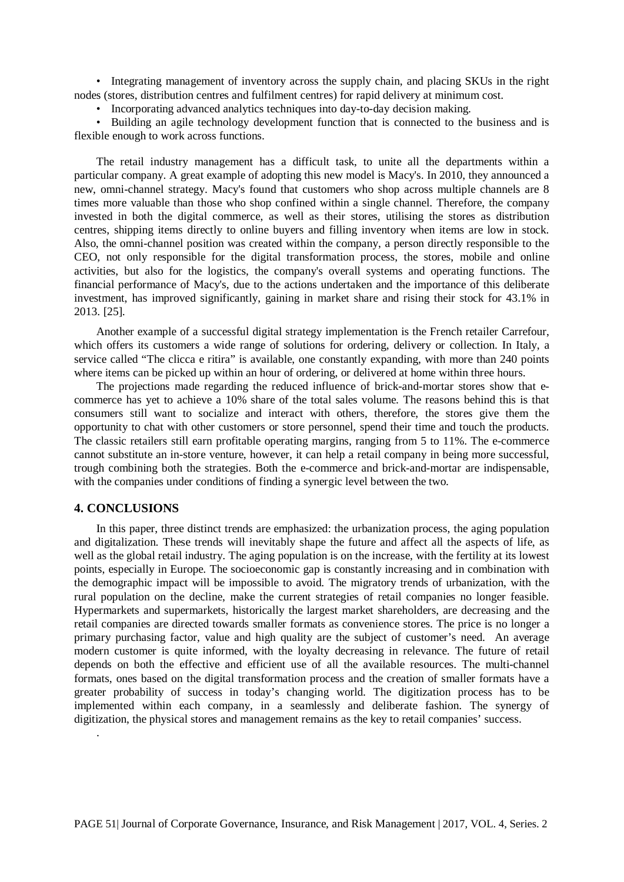• Integrating management of inventory across the supply chain, and placing SKUs in the right nodes (stores, distribution centres and fulfilment centres) for rapid delivery at minimum cost.

• Incorporating advanced analytics techniques into day-to-day decision making.

• Building an agile technology development function that is connected to the business and is flexible enough to work across functions.

The retail industry management has a difficult task, to unite all the departments within a particular company. A great example of adopting this new model is Macy's. In 2010, they announced a new, omni-channel strategy. Macy's found that customers who shop across multiple channels are 8 times more valuable than those who shop confined within a single channel. Therefore, the company invested in both the digital commerce, as well as their stores, utilising the stores as distribution centres, shipping items directly to online buyers and filling inventory when items are low in stock. Also, the omni-channel position was created within the company, a person directly responsible to the CEO, not only responsible for the digital transformation process, the stores, mobile and online activities, but also for the logistics, the company's overall systems and operating functions. The financial performance of Macy's, due to the actions undertaken and the importance of this deliberate investment, has improved significantly, gaining in market share and rising their stock for 43.1% in 2013. [25].

Another example of a successful digital strategy implementation is the French retailer Carrefour, which offers its customers a wide range of solutions for ordering, delivery or collection. In Italy, a service called "The clicca e ritira" is available, one constantly expanding, with more than 240 points where items can be picked up within an hour of ordering, or delivered at home within three hours.

The projections made regarding the reduced influence of brick-and-mortar stores show that ecommerce has yet to achieve a 10% share of the total sales volume. The reasons behind this is that consumers still want to socialize and interact with others, therefore, the stores give them the opportunity to chat with other customers or store personnel, spend their time and touch the products. The classic retailers still earn profitable operating margins, ranging from 5 to 11%. The e-commerce cannot substitute an in-store venture, however, it can help a retail company in being more successful, trough combining both the strategies. Both the e-commerce and brick-and-mortar are indispensable, with the companies under conditions of finding a synergic level between the two.

## **4. CONCLUSIONS**

.

In this paper, three distinct trends are emphasized: the urbanization process, the aging population and digitalization. These trends will inevitably shape the future and affect all the aspects of life, as well as the global retail industry. The aging population is on the increase, with the fertility at its lowest points, especially in Europe. The socioeconomic gap is constantly increasing and in combination with the demographic impact will be impossible to avoid. The migratory trends of urbanization, with the rural population on the decline, make the current strategies of retail companies no longer feasible. Hypermarkets and supermarkets, historically the largest market shareholders, are decreasing and the retail companies are directed towards smaller formats as convenience stores. The price is no longer a primary purchasing factor, value and high quality are the subject of customer's need. An average modern customer is quite informed, with the loyalty decreasing in relevance. The future of retail depends on both the effective and efficient use of all the available resources. The multi-channel formats, ones based on the digital transformation process and the creation of smaller formats have a greater probability of success in today's changing world. The digitization process has to be implemented within each company, in a seamlessly and deliberate fashion. The synergy of digitization, the physical stores and management remains as the key to retail companies' success.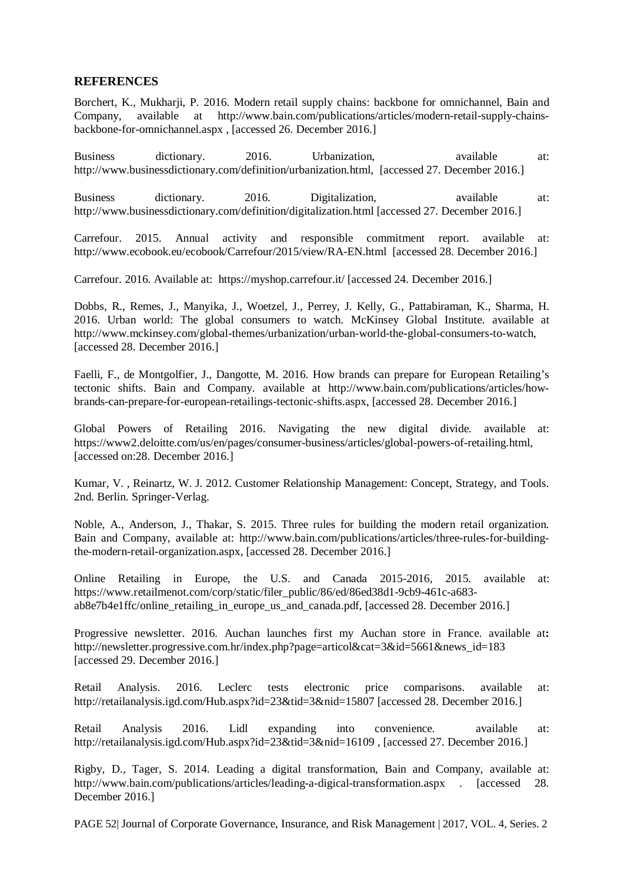## **REFERENCES**

Borchert, K., Mukharji, P. 2016. Modern retail supply chains: backbone for omnichannel, Bain and Company, available at http://www.bain.com/publications/articles/modern-retail-supply-chainsbackbone-for-omnichannel.aspx , [accessed 26. December 2016.]

Business dictionary. 2016. Urbanization, available at: http://www.businessdictionary.com/definition/urbanization.html, [accessed 27. December 2016.]

Business dictionary. 2016. Digitalization, available at: http://www.businessdictionary.com/definition/digitalization.html [accessed 27. December 2016.]

Carrefour. 2015. Annual activity and responsible commitment report. available at: http://www.ecobook.eu/ecobook/Carrefour/2015/view/RA-EN.html [accessed 28. December 2016.]

Carrefour. 2016. Available at: https://myshop.carrefour.it/ [accessed 24. December 2016.]

Dobbs, R., Remes, J., Manyika, J., Woetzel, J., Perrey, J. Kelly, G., Pattabiraman, K., Sharma, H. 2016. Urban world: The global consumers to watch. McKinsey Global Institute. available at http://www.mckinsey.com/global-themes/urbanization/urban-world-the-global-consumers-to-watch, [accessed 28. December 2016.]

Faelli, F., de Montgolfier, J., Dangotte, M. 2016. How brands can prepare for European Retailing's tectonic shifts. Bain and Company. available at http://www.bain.com/publications/articles/howbrands-can-prepare-for-european-retailings-tectonic-shifts.aspx, [accessed 28. December 2016.]

Global Powers of Retailing 2016. Navigating the new digital divide. available at: https://www2.deloitte.com/us/en/pages/consumer-business/articles/global-powers-of-retailing.html, [accessed on:28. December 2016.]

Kumar, V. , Reinartz, W. J. 2012. Customer Relationship Management: Concept, Strategy, and Tools. 2nd. Berlin. Springer-Verlag.

Noble, A., Anderson, J., Thakar, S. 2015. Three rules for building the modern retail organization. Bain and Company, available at: http://www.bain.com/publications/articles/three-rules-for-buildingthe-modern-retail-organization.aspx, [accessed 28. December 2016.]

Online Retailing in Europe, the U.S. and Canada 2015-2016, 2015. available at: https://www.retailmenot.com/corp/static/filer\_public/86/ed/86ed38d1-9cb9-461c-a683ab8e7b4e1ffc/online\_retailing\_in\_europe\_us\_and\_canada.pdf, [accessed 28. December 2016.]

Progressive newsletter. 2016. Auchan launches first my Auchan store in France. available at**:**  http://newsletter.progressive.com.hr/index.php?page=articol&cat=3&id=5661&news\_id=183 [accessed 29. December 2016.]

Retail Analysis. 2016. Leclerc tests electronic price comparisons. available at: http://retailanalysis.igd.com/Hub.aspx?id=23&tid=3&nid=15807 [accessed 28. December 2016.]

Retail Analysis 2016. Lidl expanding into convenience. available at: http://retailanalysis.igd.com/Hub.aspx?id=23&tid=3&nid=16109, [accessed 27. December 2016.]

Rigby, D., Tager, S. 2014. Leading a digital transformation, Bain and Company, available at: http://www.bain.com/publications/articles/leading-a-digical-transformation.aspx . [accessed 28. December 2016.]

PAGE 52| Journal of Corporate Governance, Insurance, and Risk Management | 2017, VOL. 4, Series. 2